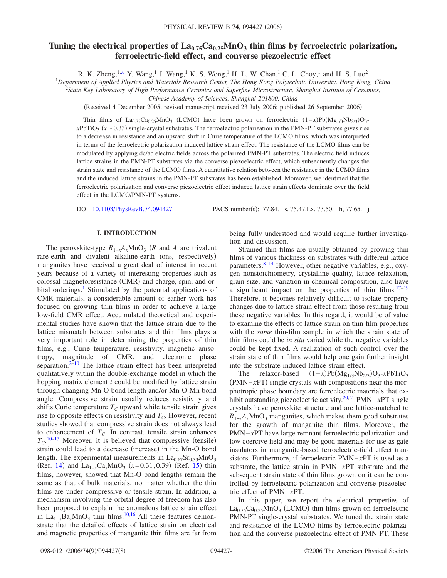# Tuning the electrical properties of  $La_{0.75}Ca_{0.25}MnO_3$  thin films by ferroelectric polarization, **ferroelectric-field effect, and converse piezoelectric effect**

R. K. Zheng,<sup>1[,\\*](#page-6-0)</sup> Y. Wang,<sup>1</sup> J. Wang,<sup>1</sup> K. S. Wong,<sup>1</sup> H. L. W. Chan,<sup>1</sup> C. L. Choy,<sup>1</sup> and H. S. Luo<sup>2</sup>

<sup>1</sup>*Department of Applied Physics and Materials Research Center, The Hong Kong Polytechnic University, Hong Kong, China*

2 *State Key Laboratory of High Performance Ceramics and Superfine Microstructure, Shanghai Institute of Ceramics,*

*Chinese Academy of Sciences, Shanghai 201800, China*

(Received 4 December 2005; revised manuscript received 23 July 2006; published 26 September 2006)

Thin films of La<sub>0.75</sub>Ca<sub>0.25</sub>MnO<sub>3</sub> (LCMO) have been grown on ferroelectric  $(1-x)Pb(Mg_{1/3}Nb_{2/3})O_3$  $xPbTiO<sub>3</sub>$   $(x \sim 0.33)$  single-crystal substrates. The ferroelectric polarization in the PMN-PT substrates gives rise to a decrease in resistance and an upward shift in Curie temperature of the LCMO films, which was interpreted in terms of the ferroelectric polarization induced lattice strain effect. The resistance of the LCMO films can be modulated by applying dc/ac electric fields across the polarized PMN-PT substrates. The electric field induces lattice strains in the PMN-PT substrates via the converse piezoelectric effect, which subsequently changes the strain state and resistance of the LCMO films. A quantitative relation between the resistance in the LCMO films and the induced lattice strains in the PMN-PT substrates has been established. Moreover, we identified that the ferroelectric polarization and converse piezoelectric effect induced lattice strain effects dominate over the field effect in the LCMO/PMN-PT systems.

DOI: [10.1103/PhysRevB.74.094427](http://dx.doi.org/10.1103/PhysRevB.74.094427)

PACS number(s):  $77.84.-s$ ,  $75.47.Lx$ ,  $73.50.-h$ ,  $77.65.-j$ 

## **I. INTRODUCTION**

The perovskite-type  $R_{1-x}A_xMnO_3$  (*R* and *A* are trivalent rare-earth and divalent alkaline-earth ions, respectively) manganites have received a great deal of interest in recent years because of a variety of interesting properties such as colossal magnetoresistance (CMR) and charge, spin, and orbital orderings.<sup>1</sup> Stimulated by the potential applications of CMR materials, a considerable amount of earlier work has focused on growing thin films in order to achieve a large low-field CMR effect. Accumulated theoretical and experimental studies have shown that the lattice strain due to the lattice mismatch between substrates and thin films plays a very important role in determining the properties of thin films, e.g., Curie temperature, resistivity, magnetic anisotropy, magnitude of CMR, and electronic phase separation.<sup>2–[10](#page-6-3)</sup> The lattice strain effect has been interpreted qualitatively within the double-exchange model in which the hopping matrix element *t* could be modified by lattice strain through changing Mn-O bond length and/or Mn-O-Mn bond angle. Compressive strain usually reduces resistivity and shifts Curie temperature  $T_c$  upward while tensile strain gives rise to opposite effects on resistivity and  $T_c$ . However, recent studies showed that compressive strain does not always lead to enhancement of  $T_c$ . In contrast, tensile strain enhances  $T_c$ <sup>[10–](#page-6-3)[13](#page-7-0)</sup> Moreover, it is believed that compressive (tensile) strain could lead to a decrease (increase) in the Mn-O bond length. The experimental measurements in  $La_{0.67}Sr_{0.33}MnO_3$  $(Ref. 14)$  $(Ref. 14)$  $(Ref. 14)$  and  $La_{1-x}Ca_xMnO_3$   $(x=0.31, 0.39)$   $(Ref. 15)$  $(Ref. 15)$  $(Ref. 15)$  thin films, however, showed that Mn-O bond lengths remain the same as that of bulk materials, no matter whether the thin films are under compressive or tensile strain. In addition, a mechanism involving the orbital degree of freedom has also been proposed to explain the anomalous lattice strain effect in La<sub>1−*x*</sub>Ba<sub>*x*</sub>MnO<sub>3</sub> thin films.<sup>10[,16](#page-7-3)</sup> All these features demonstrate that the detailed effects of lattice strain on electrical and magnetic properties of manganite thin films are far from being fully understood and would require further investigation and discussion.

Strained thin films are usually obtained by growing thin films of various thickness on substrates with different lattice parameters. $8-14$  However, other negative variables, e.g., oxygen nonstoichiometry, crystalline quality, lattice relaxation, grain size, and variation in chemical composition, also have a significant impact on the properties of thin films.<sup>17-19</sup> Therefore, it becomes relatively difficult to isolate property changes due to lattice strain effect from those resulting from these negative variables. In this regard, it would be of value to examine the effects of lattice strain on thin-film properties with the *same* thin-film sample in which the strain state of thin films could be *in situ* varied while the negative variables could be kept fixed. A realization of such control over the strain state of thin films would help one gain further insight into the substrate-induced lattice strain effect.

The relaxor-based 1−*x*- $Pb(Mg_{1/3}Nb_{2/3})O_3$ -*x*PbTiO<sub>3</sub> (PMN-*x*PT) single crystals with compositions near the morphotropic phase boundary are ferroelectric materials that exhibit outstanding piezoelectric activity[.20](#page-7-6)[,21](#page-7-7) PMN−*x*PT single crystals have perovskite structure and are lattice-matched to  $R_{1-x}A_xMnO_3$  manganites, which makes them good substrates for the growth of manganite thin films. Moreover, the PMN−*x*PT have large remnant ferroelectric polarization and low coercive field and may be good materials for use as gate insulators in manganite-based ferroelectric-field effect transistors. Furthermore, if ferroelectric PMN−*x*PT is used as a substrate, the lattice strain in PMN−*x*PT substrate and the subsequent strain state of thin films grown on it can be controlled by ferroelectric polarization and converse piezoelectric effect of PMN−*x*PT.

In this paper, we report the electrical properties of  $La<sub>0.75</sub>Ca<sub>0.25</sub>MnO<sub>3</sub>$  (LCMO) thin films grown on ferroelectric PMN-PT single-crystal substrates. We tuned the strain state and resistance of the LCMO films by ferroelectric polarization and the converse piezoelectric effect of PMN-PT. These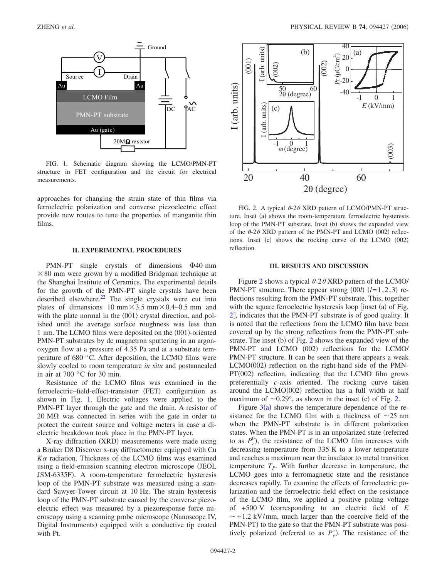<span id="page-1-0"></span>

FIG. 1. Schematic diagram showing the LCMO/PMN-PT structure in FET configuration and the circuit for electrical measurements.  $20 \t\t 40 \t\t 60$ 

approaches for changing the strain state of thin films via ferroelectric polarization and converse piezoelectric effect provide new routes to tune the properties of manganite thin films.

#### **II. EXPERIMENTAL PROCEDURES**

PMN-PT single crystals of dimensions  $\Phi$ 40 mm  $\times$  80 mm were grown by a modified Bridgman technique at the Shanghai Institute of Ceramics. The experimental details for the growth of the PMN-PT single crystals have been described elsewhere. $22$  The single crystals were cut into plates of dimensions  $10 \text{ mm} \times 3.5 \text{ mm} \times 0.4-0.5 \text{ mm}$  and with the plate normal in the  $\langle 001 \rangle$  crystal direction, and polished until the average surface roughness was less than 1 nm. The LCMO films were deposited on the (001)-oriented PMN-PT substrates by dc magnetron sputtering in an argonoxygen flow at a pressure of 4.35 Pa and at a substrate temperature of 680 °C. After deposition, the LCMO films were slowly cooled to room temperature *in situ* and postannealed in air at 700 °C for 30 min.

Resistance of the LCMO films was examined in the ferroelectric-field-effect-transistor (FET) configuration as shown in Fig. [1.](#page-1-0) Electric voltages were applied to the PMN-PT layer through the gate and the drain. A resistor of  $20 \text{ M}\Omega$  was connected in series with the gate in order to protect the current source and voltage meters in case a dielectric breakdown took place in the PMN-PT layer.

X-ray diffraction (XRD) measurements were made using a Bruker D8 Discover x-ray diffractometer equipped with Cu  $K\alpha$  radiation. Thickness of the LCMO films was examined using a field-emission scanning electron microscope JEOL JSM-6335F). A room-temperature ferroelectric hysteresis loop of the PMN-PT substrate was measured using a standard Sawyer-Tower circuit at 10 Hz. The strain hysteresis loop of the PMN-PT substrate caused by the converse piezoelectric effect was measured by a piezoresponse force microscopy using a scanning probe microscope Nanoscope IV, Digital Instruments) equipped with a conductive tip coated with Pt.

<span id="page-1-1"></span>

FIG. 2. A typical  $\theta$ -2 $\theta$  XRD pattern of LCMO/PMN-PT structure. Inset (a) shows the room-temperature ferroelectric hysteresis loop of the PMN-PT substrate. Inset (b) shows the expanded view of the  $\theta$ -2 $\theta$  XRD pattern of the PMN-PT and LCMO (002) reflections. Inset (c) shows the rocking curve of the LCMO (002) reflection.

### **III. RESULTS AND DISCUSSION**

Figure [2](#page-1-1) shows a typical  $\theta$ -2 $\theta$ XRD pattern of the LCMO/ PMN-PT structure. There appear strong  $(00l)$   $(l=1,2,3)$  reflections resulting from the PMN-PT substrate. This, together with the square ferroelectric hysteresis loop [inset (a) of Fig. [2](#page-1-1), indicates that the PMN-PT substrate is of good quality. It is noted that the reflections from the LCMO film have been covered up by the strong reflections from the PMN-PT substrate. The inset (b) of Fig.  $2$  shows the expanded view of the PMN-PT and LCMO (002) reflections for the LCMO/ PMN-PT structure. It can be seen that there appears a weak LCMO(002) reflection on the right-hand side of the PMN-PT(002) reflection, indicating that the LCMO film grows preferentially *c*-axis oriented. The rocking curve taken around the LCMO(002) reflection has a full width at half maximum of  $\sim 0.29^{\circ}$ , as shown in the inset (c) of Fig. [2.](#page-1-1)

Figure  $3(a)$  $3(a)$  shows the temperature dependence of the resistance for the LCMO film with a thickness of  $\sim$ 25 nm when the PMN-PT substrate is in different polarization states. When the PMN-PT is in an unpolarized state (referred to as  $P_r^0$ ), the resistance of the LCMO film increases with decreasing temperature from 335 K to a lower temperature and reaches a maximum near the insulator to metal transition temperature  $T<sub>P</sub>$ . With further decrease in temperature, the LCMO goes into a ferromagnetic state and the resistance decreases rapidly. To examine the effects of ferroelectric polarization and the ferroelectric-field effect on the resistance of the LCMO film, we applied a positive poling voltage of +500 V corresponding to an electric field of *E*  $\sim$  +1.2 kV/mm, much larger than the coercive field of the PMN-PT) to the gate so that the PMN-PT substrate was positively polarized (referred to as  $P_r^+$ ). The resistance of the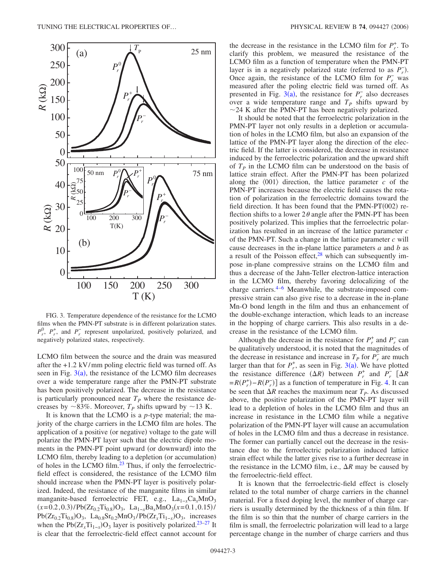<span id="page-2-0"></span>

FIG. 3. Temperature dependence of the resistance for the LCMO films when the PMN-PT substrate is in different polarization states.  $P_r^0$ ,  $P_r^+$ , and  $P_r^-$  represent unpolarized, positively polarized, and negatively polarized states, respectively.

LCMO film between the source and the drain was measured after the +1.2 kV/mm poling electric field was turned off. As seen in Fig.  $3(a)$  $3(a)$ , the resistance of the LCMO film decreases over a wide temperature range after the PMN-PT substrate has been positively polarized. The decrease in the resistance is particularly pronounced near  $T<sub>P</sub>$  where the resistance decreases by  $\sim$ 83%. Moreover,  $T_p$  shifts upward by  $\sim$ 13 K.

It is known that the LCMO is a *p*-type material; the majority of the charge carriers in the LCMO film are holes. The application of a positive (or negative) voltage to the gate will polarize the PMN-PT layer such that the electric dipole moments in the PMN-PT point upward (or downward) into the LCMO film, thereby leading to a depletion (or accumulation) of holes in the LCMO film.<sup>23</sup> Thus, if only the ferroelectricfield effect is considered, the resistance of the LCMO film should increase when the PMN-PT layer is positively polarized. Indeed, the resistance of the manganite films in similar manganite-based ferroelectric FET, e.g., La<sub>1−*x*</sub>Ca<sub>*x*</sub>MnO<sub>3</sub>  $(x=0.2, 0.3)/Pb(Zr_{0.2}Ti_{0.8})O_3$ , La<sub>1-*x*</sub>Ba<sub>*x*</sub>MnO<sub>3</sub> $(x=0.1, 0.15)/Pb(Zr_{0.2}Ti_{0.8})O_3$  $Pb(Zr_{0.2}Ti_{0.8})O_3$ , La<sub>0.8</sub>Sr<sub>0.2</sub>MnO<sub>3</sub>/Pb(Zr<sub>x</sub>Ti<sub>1-x</sub>)O<sub>3</sub>, increases when the  $Pb(Zr_xTi_{1-x})O_3$  layer is positively polarized.<sup>23[–27](#page-7-10)</sup> It is clear that the ferroelectric-field effect cannot account for

the decrease in the resistance in the LCMO film for  $P_r^+$ . To clarify this problem, we measured the resistance of the LCMO film as a function of temperature when the PMN-PT layer is in a negatively polarized state (referred to as  $P_r^-$ ). Once again, the resistance of the LCMO film for  $P_r^-$  was measured after the poling electric field was turned off. As presented in Fig. [3](#page-2-0)(a), the resistance for  $P_r^-$  also decreases over a wide temperature range and  $T_p$  shifts upward by  $\sim$  24 K after the PMN-PT has been negatively polarized.

It should be noted that the ferroelectric polarization in the PMN-PT layer not only results in a depletion or accumulation of holes in the LCMO film, but also an expansion of the lattice of the PMN-PT layer along the direction of the electric field. If the latter is considered, the decrease in resistance induced by the ferroelectric polarization and the upward shift of  $T_p$  in the LCMO film can be understood on the basis of lattice strain effect. After the PMN-PT has been polarized along the  $\langle 001 \rangle$  direction, the lattice parameter *c* of the PMN-PT increases because the electric field causes the rotation of polarization in the ferroelectric domains toward the field direction. It has been found that the PMN-PT $(002)$  reflection shifts to a lower  $2\theta$  angle after the PMN-PT has been positively polarized. This implies that the ferroelectric polarization has resulted in an increase of the lattice parameter *c* of the PMN-PT. Such a change in the lattice parameter *c* will cause decreases in the in-plane lattice parameters *a* and *b* as a result of the Poisson effect, $28$  which can subsequently impose in-plane compressive strains on the LCMO film and thus a decrease of the Jahn-Teller electron-lattice interaction in the LCMO film, thereby favoring delocalizing of the charge carriers. $4-6$  Meanwhile, the substrate-imposed compressive strain can also give rise to a decrease in the in-plane Mn-O bond length in the film and thus an enhancement of the double-exchange interaction, which leads to an increase in the hopping of charge carriers. This also results in a decrease in the resistance of the LCMO film.

Although the decrease in the resistance for  $P_r^+$  and  $P_r^-$  can be qualitatively understood, it is noted that the magnitudes of the decrease in resistance and increase in  $T_p$  for  $P_r^-$  are much larger than that for  $P_r^+$ , as seen in Fig. [3](#page-2-0)(a). We have plotted the resistance difference  $(\Delta R)$  between  $P_r^+$  and  $P_r^ [\Delta R]$  $= R(P_r^+) - R(P_r^-)$  as a function of temperature in Fig. [4.](#page-3-0) It can be seen that  $\Delta R$  reaches the maximum near  $T_p$ . As discussed above, the positive polarization of the PMN-PT layer will lead to a depletion of holes in the LCMO film and thus an increase in resistance in the LCMO film while a negative polarization of the PMN-PT layer will cause an accumulation of holes in the LCMO film and thus a decrease in resistance. The former can partially cancel out the decrease in the resistance due to the ferroelectric polarization induced lattice strain effect while the latter gives rise to a further decrease in the resistance in the LCMO film, i.e.,  $\Delta R$  may be caused by the ferroelectric-field effect.

It is known that the ferroelectric-field effect is closely related to the total number of charge carriers in the channel material. For a fixed doping level, the number of charge carriers is usually determined by the thickness of a thin film. If the film is so thin that the number of charge carriers in the film is small, the ferroelectric polarization will lead to a large percentage change in the number of charge carriers and thus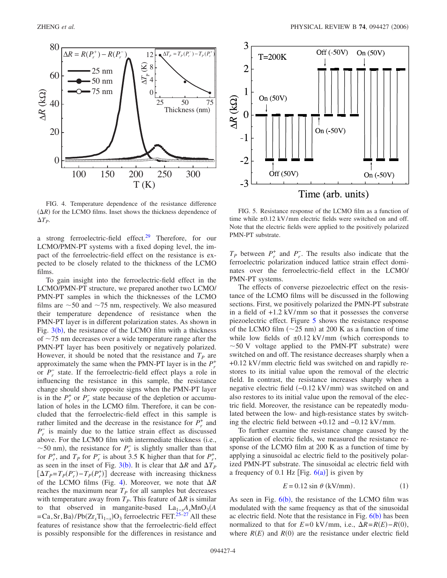<span id="page-3-0"></span>

FIG. 4. Temperature dependence of the resistance difference  $(\Delta R)$  for the LCMO films. Inset shows the thickness dependence of  $\Delta T_P$ .

a strong ferroelectric-field effect. $29$  Therefore, for our LCMO/PMN-PT systems with a fixed doping level, the impact of the ferroelectric-field effect on the resistance is expected to be closely related to the thickness of the LCMO films.

To gain insight into the ferroelectric-field effect in the LCMO/PMN-PT structure, we prepared another two LCMO/ PMN-PT samples in which the thicknesses of the LCMO films are  $\sim$  50 and  $\sim$  75 nm, respectively. We also measured their temperature dependence of resistance when the PMN-PT layer is in different polarization states. As shown in Fig.  $3(b)$  $3(b)$ , the resistance of the LCMO film with a thickness of  $\sim$ 75 nm decreases over a wide temperature range after the PMN-PT layer has been positively or negatively polarized. However, it should be noted that the resistance and  $T_p$  are approximately the same when the PMN-PT layer is in the  $P_r^+$ or  $P_r^-$  state. If the ferroelectric-field effect plays a role in influencing the resistance in this sample, the resistance change should show opposite signs when the PMN-PT layer is in the  $P_r^+$  or  $P_r^-$  state because of the depletion or accumulation of holes in the LCMO film. Therefore, it can be concluded that the ferroelectric-field effect in this sample is rather limited and the decrease in the resistance for  $P_r^+$  and  $P_r^-$  is mainly due to the lattice strain effect as discussed above. For the LCMO film with intermediate thickness (i.e.,  $\sim$ 50 nm), the resistance for  $P_r^-$  is slightly smaller than that for  $P_r^+$ , and  $T_P$  for  $P_r^-$  is about 3.5 K higher than that for  $P_r^+$ , as seen in the inset of Fig. [3](#page-2-0)(b). It is clear that  $\Delta R$  and  $\Delta T_p$  $\left[\Delta T_p = T_p(P_r^-) - T_p(P_r^+)\right]$  decrease with increasing thickness of the LCMO films (Fig. [4](#page-3-0)). Moreover, we note that  $\Delta R$ reaches the maximum near  $T<sub>p</sub>$  for all samples but decreases with temperature away from  $T_P$ . This feature of  $\Delta R$  is similar to that observed in manganite-based  $La_{1-x}A_xMnO_3(A)$  $=$ Ca,Sr,Ba)/Pb( $Zr_xTi_{1-x}$ )O<sub>3</sub> ferroelectric FET.<sup>25[–27](#page-7-10)</sup> All these features of resistance show that the ferroelectric-field effect is possibly responsible for the differences in resistance and

<span id="page-3-1"></span>

FIG. 5. Resistance response of the LCMO film as a function of time while ±0.12 kV/mm electric fields were switched on and off. Note that the electric fields were applied to the positively polarized PMN-PT substrate.

 $T_P$  between  $P_r^+$  and  $P_r^-$ . The results also indicate that the ferroelectric polarization induced lattice strain effect dominates over the ferroelectric-field effect in the LCMO/ PMN-PT systems.

The effects of converse piezoelectric effect on the resistance of the LCMO films will be discussed in the following sections. First, we positively polarized the PMN-PT substrate in a field of +1.2 kV/mm so that it possesses the converse piezoelectric effect. Figure [5](#page-3-1) shows the resistance response of the LCMO film  $(\sim 25 \text{ nm})$  at 200 K as a function of time while low fields of  $\pm 0.12$  kV/mm (which corresponds to  $\sim$  50 V voltage applied to the PMN-PT substrate) were switched on and off. The resistance decreases sharply when a +0.12 kV/mm electric field was switched on and rapidly restores to its initial value upon the removal of the electric field. In contrast, the resistance increases sharply when a negative electric field (-0.12 kV/mm) was switched on and also restores to its initial value upon the removal of the electric field. Moreover, the resistance can be repeatedly modulated between the low- and high-resistance states by switching the electric field between +0.12 and −0.12 kV/mm.

To further examine the resistance change caused by the application of electric fields, we measured the resistance response of the LCMO film at 200 K as a function of time by applying a sinusoidal ac electric field to the positively polarized PMN-PT substrate. The sinusoidal ac electric field with a frequency of 0.1 Hz  $[Fig. 6(a)]$  $[Fig. 6(a)]$  $[Fig. 6(a)]$  is given by

$$
E = 0.12 \sin \theta \text{ (kV/mm)}.
$$
 (1)

<span id="page-3-2"></span>As seen in Fig.  $6(b)$  $6(b)$ , the resistance of the LCMO film was modulated with the same frequency as that of the sinusoidal ac electric field. Note that the resistance in Fig.  $6(b)$  $6(b)$  has been normalized to that for  $E=0$  kV/mm, i.e.,  $\Delta R = R(E) - R(0)$ , where  $R(E)$  and  $R(0)$  are the resistance under electric field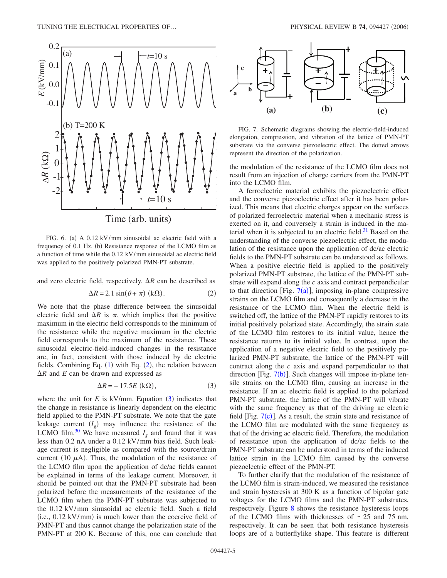<span id="page-4-0"></span>

FIG. 6. (a) A 0.12 kV/mm sinusoidal ac electric field with a frequency of 0.1 Hz. (b) Resistance response of the LCMO film as a function of time while the 0.12 kV/mm sinusoidal ac electric field was applied to the positively polarized PMN-PT substrate.

<span id="page-4-1"></span>and zero electric field, respectively.  $\Delta R$  can be described as

$$
\Delta R = 2.1 \sin(\theta + \pi) \text{ (k}\Omega). \tag{2}
$$

We note that the phase difference between the sinusoidal electric field and  $\Delta R$  is  $\pi$ , which implies that the positive maximum in the electric field corresponds to the minimum of the resistance while the negative maximum in the electric field corresponds to the maximum of the resistance. These sinusoidal electric-field-induced changes in the resistance are, in fact, consistent with those induced by dc electric fields. Combining Eq.  $(1)$  $(1)$  $(1)$  with Eq.  $(2)$  $(2)$  $(2)$ , the relation between  $\Delta R$  and *E* can be drawn and expressed as

$$
\Delta R = -17.5E \text{ (k}\Omega),\tag{3}
$$

<span id="page-4-2"></span>where the unit for  $E$  is kV/mm. Equation  $(3)$  $(3)$  $(3)$  indicates that the change in resistance is linearly dependent on the electric field applied to the PMN-PT substrate. We note that the gate leakage current  $(I_g)$  may influence the resistance of the LCMO film.<sup>30</sup> We have measured  $I_g$  and found that it was less than 0.2 nA under a 0.12 kV/mm bias field. Such leakage current is negligible as compared with the source/drain current (10  $\mu$ A). Thus, the modulation of the resistance of the LCMO film upon the application of dc/ac fields cannot be explained in terms of the leakage current. Moreover, it should be pointed out that the PMN-PT substrate had been polarized before the measurements of the resistance of the LCMO film when the PMN-PT substrate was subjected to the 0.12 kV/mm sinusoidal ac electric field. Such a field  $(i.e., 0.12 \text{ kV/mm})$  is much lower than the coercive field of PMN-PT and thus cannot change the polarization state of the PMN-PT at 200 K. Because of this, one can conclude that

<span id="page-4-3"></span>

FIG. 7. Schematic diagrams showing the electric-field-induced elongation, compression, and vibration of the lattice of PMN-PT substrate via the converse piezoelectric effect. The dotted arrows represent the direction of the polarization.

the modulation of the resistance of the LCMO film does not result from an injection of charge carriers from the PMN-PT into the LCMO film.

A ferroelectric material exhibits the piezoelectric effect and the converse piezoelectric effect after it has been polarized. This means that electric charges appear on the surfaces of polarized ferroelectric material when a mechanic stress is exerted on it, and conversely a strain is induced in the material when it is subjected to an electric field. $31$  Based on the understanding of the converse piezoelectric effect, the modulation of the resistance upon the application of dc/ac electric fields to the PMN-PT substrate can be understood as follows. When a positive electric field is applied to the positively polarized PMN-PT substrate, the lattice of the PMN-PT substrate will expand along the *c* axis and contract perpendicular to that direction [Fig.  $7(a)$  $7(a)$ ], imposing in-plane compressive strains on the LCMO film and consequently a decrease in the resistance of the LCMO film. When the electric field is switched off, the lattice of the PMN-PT rapidly restores to its initial positively polarized state. Accordingly, the strain state of the LCMO film restores to its initial value, hence the resistance returns to its initial value. In contrast, upon the application of a negative electric field to the positively polarized PMN-PT substrate, the lattice of the PMN-PT will contract along the *c* axis and expand perpendicular to that direction [Fig. [7](#page-4-3)(b)]. Such changes will impose in-plane tensile strains on the LCMO film, causing an increase in the resistance. If an ac electric field is applied to the polarized PMN-PT substrate, the lattice of the PMN-PT will vibrate with the same frequency as that of the driving ac electric field [Fig.  $7(c)$  $7(c)$ ]. As a result, the strain state and resistance of the LCMO film are modulated with the same frequency as that of the driving ac electric field. Therefore, the modulation of resistance upon the application of dc/ac fields to the PMN-PT substrate can be understood in terms of the induced lattice strain in the LCMO film caused by the converse piezoelectric effect of the PMN-PT.

To further clarify that the modulation of the resistance of the LCMO film is strain-induced, we measured the resistance and strain hysteresis at 300 K as a function of bipolar gate voltages for the LCMO films and the PMN-PT substrates, respectively. Figure [8](#page-5-0) shows the resistance hysteresis loops of the LCMO films with thicknesses of  $\sim$ 25 and 75 nm, respectively. It can be seen that both resistance hysteresis loops are of a butterflylike shape. This feature is different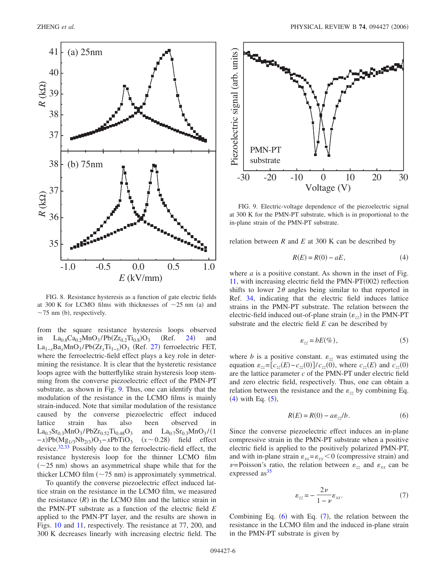<span id="page-5-0"></span>

FIG. 8. Resistance hysteresis as a function of gate electric fields at 300 K for LCMO films with thicknesses of  $\sim$  25 nm (a) and  $\sim$ 75 nm (b), respectively.

from the square resistance hysteresis loops observed in  $La_{0.8}Ca_{0.2}MnO_3/Pb(Zr_{0.2}Ti_{0.8})O_3$  $(Ref. 24)$  $(Ref. 24)$  $(Ref. 24)$  and La<sub>1−*x*</sub>Ba<sub>*x*</sub>MnO<sub>3</sub>/Pb(Zr<sub>*x*</sub>Ti<sub>1−*x*</sub>)O<sub>3</sub> (Ref. [27](#page-7-10)) ferroelectric FET, where the ferroelectric-field effect plays a key role in determining the resistance. It is clear that the hysteretic resistance loops agree with the butterflylike strain hysteresis loop stemming from the converse piezoelectric effect of the PMN-PT substrate, as shown in Fig. [9.](#page-5-1) Thus, one can identify that the modulation of the resistance in the LCMO films is mainly strain-induced. Note that similar modulation of the resistance caused by the converse piezoelectric effect induced lattice strain has also been observed in  $La_{0.7}Sr_{0.3}MnO_3/PbZr_{0.52}Ti_{0.48}O_3$  and  $La_{0.7}Sr_{0.3}MnO_3/(1)$  $(x \sim 0.28)$ <br>Pb(Mg<sub>1/3</sub>Nb<sub>2/3</sub>)O<sub>3</sub> - *x*PbTiO<sub>3</sub>  $(x \sim 0.28)$  $(x \sim 0.28)$  field effect device.<sup>32,[33](#page-7-18)</sup> Possibly due to the ferroelectric-field effect, the resistance hysteresis loop for the thinner LCMO film  $(\sim 25$  nm) shows an asymmetrical shape while that for the thicker LCMO film  $(\sim 75 \text{ nm})$  is approximately symmetrical.

To quantify the converse piezoelectric effect induced lattice strain on the resistance in the LCMO film, we measured the resistance  $(R)$  in the LCMO film and the lattice strain in the PMN-PT substrate as a function of the electric field *E* applied to the PMN-PT layer, and the results are shown in Figs. [10](#page-6-7) and [11,](#page-6-8) respectively. The resistance at 77, 200, and 300 K decreases linearly with increasing electric field. The

<span id="page-5-1"></span>

FIG. 9. Electric-voltage dependence of the piezoelectric signal at 300 K for the PMN-PT substrate, which is in proportional to the in-plane strain of the PMN-PT substrate.

<span id="page-5-2"></span>relation between  $R$  and  $E$  at 300 K can be described by

$$
R(E) = R(0) - aE, \tag{4}
$$

where *a* is a positive constant. As shown in the inset of Fig.  $11$ , with increasing electric field the PMN-PT(002) reflection shifts to lower  $2\theta$  angles being similar to that reported in Ref. [34,](#page-7-19) indicating that the electric field induces lattice strains in the PMN-PT substrate. The relation between the electric-field induced out-of-plane strain  $(\varepsilon_{zz})$  in the PMN-PT substrate and the electric field *E* can be described by

$$
\varepsilon_{zz} = bE(\%),\tag{5}
$$

<span id="page-5-3"></span>where *b* is a positive constant.  $\varepsilon_{zz}$  was estimated using the equation  $\varepsilon_{zz} = [c_{zz}(E) - c_{zz}(0)]/c_{zz}(0)$ , where  $c_{zz}(E)$  and  $c_{zz}(0)$ are the lattice parameter *c* of the PMN-PT under electric field and zero electric field, respectively. Thus, one can obtain a relation between the resistance and the  $\varepsilon_{zz}$  by combining Eq.  $(4)$  $(4)$  $(4)$  with Eq.  $(5)$  $(5)$  $(5)$ ,

$$
R(E) = R(0) - a\varepsilon_{zz}/b. \tag{6}
$$

<span id="page-5-4"></span>Since the converse piezoelectric effect induces an in-plane compressive strain in the PMN-PT substrate when a positive electric field is applied to the positively polarized PMN-PT, and with in-plane strain  $\varepsilon_{xx} = \varepsilon_{yy} < 0$  (compressive strain) and  $\nu$ =Poisson's ratio, the relation between  $\varepsilon_{zz}$  and  $\varepsilon_{xx}$  can be expressed as<sup>35</sup>

$$
\varepsilon_{zz} = -\frac{2\nu}{1-\nu}\varepsilon_{xx}.\tag{7}
$$

<span id="page-5-5"></span>Combining Eq.  $(6)$  $(6)$  $(6)$  with Eq.  $(7)$  $(7)$  $(7)$ , the relation between the resistance in the LCMO film and the induced in-plane strain in the PMN-PT substrate is given by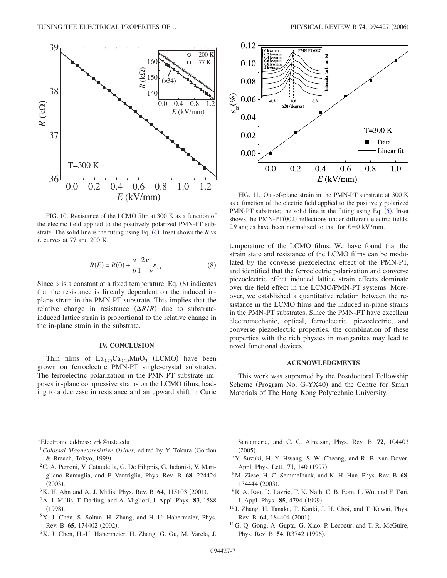<span id="page-6-7"></span>

FIG. 10. Resistance of the LCMO film at 300 K as a function of the electric field applied to the positively polarized PMN-PT substrate. The solid line is the fitting using Eq.  $(4)$  $(4)$  $(4)$ . Inset shows the *R* vs *E* curves at 77 and 200 K.

$$
R(E) = R(0) + \frac{a}{b} \frac{2\nu}{1 - \nu} \varepsilon_{xx}.
$$
 (8)

<span id="page-6-9"></span>Since  $\nu$  is a constant at a fixed temperature, Eq. ([8](#page-6-9)) indicates that the resistance is linearly dependent on the induced inplane strain in the PMN-PT substrate. This implies that the relative change in resistance  $(\Delta R/R)$  due to substrateinduced lattice strain is proportional to the relative change in the in-plane strain in the substrate.

### **IV. CONCLUSION**

Thin films of  $La_{0.75}Ca_{0.25}MnO_3$  (LCMO) have been grown on ferroelectric PMN-PT single-crystal substrates. The ferroelectric polarization in the PMN-PT substrate imposes in-plane compressive strains on the LCMO films, leading to a decrease in resistance and an upward shift in Curie

<span id="page-6-8"></span>

FIG. 11. Out-of-plane strain in the PMN-PT substrate at 300 K as a function of the electric field applied to the positively polarized PMN-PT substrate; the solid line is the fitting using Eq. ([5](#page-5-3)). Inset shows the PMN-PT(002) reflections under different electric fields. 2 $\theta$  angles have been normalized to that for  $E=0$  kV/mm.

temperature of the LCMO films. We have found that the strain state and resistance of the LCMO films can be modulated by the converse piezoelectric effect of the PMN-PT, and identified that the ferroelectric polarization and converse piezoelectric effect induced lattice strain effects dominate over the field effect in the LCMO/PMN-PT systems. Moreover, we established a quantitative relation between the resistance in the LCMO films and the induced in-plane strains in the PMN-PT substrates. Since the PMN-PT have excellent electromechanic, optical, ferroelectric, piezoelectric, and converse piezoelectric properties, the combination of these properties with the rich physics in manganites may lead to novel functional devices.

#### **ACKNOWLEDGMENTS**

This work was supported by the Postdoctoral Fellowship Scheme (Program No. G-YX40) and the Centre for Smart Materials of The Hong Kong Polytechnic University.

<span id="page-6-0"></span>\*Electronic address: zrk@ustc.edu

- <span id="page-6-1"></span><sup>1</sup> Colossal Magnetoresistive Oxides, edited by Y. Tokura (Gordon & Breach, Tokyo, 1999).
- <span id="page-6-2"></span>2C. A. Perroni, V. Cataudella, G. De Filippis, G. Iadonisi, V. Marigliano Ramaglia, and F. Ventriglia, Phys. Rev. B **68**, 224424  $(2003).$
- <sup>3</sup> K. H. Ahn and A. J. Millis, Phys. Rev. B **64**, 115103 (2001).
- <span id="page-6-5"></span>4A. J. Millis, T. Darling, and A. Migliori, J. Appl. Phys. **83**, 1588  $(1998).$
- <sup>5</sup>X. J. Chen, S. Soltan, H. Zhang, and H.-U. Habermeier, Phys. Rev. B 65, 174402 (2002).
- <span id="page-6-6"></span>6X. J. Chen, H.-U. Habermeier, H. Zhang, G. Gu, M. Varela, J.

Santamaria, and C. C. Almasan, Phys. Rev. B **72**, 104403  $(2005).$ 

- $7Y$ . Suzuki, H. Y. Hwang, S.-W. Cheong, and R. B. van Dover, Appl. Phys. Lett. **71**, 140 (1997).
- <span id="page-6-4"></span>8M. Ziese, H. C. Semmelhack, and K. H. Han, Phys. Rev. B **68**, 134444 (2003).
- <sup>9</sup>R. A. Rao, D. Lavric, T. K. Nath, C. B. Eom, L. Wu, and F. Tsui, J. Appl. Phys. **85**, 4794 (1999).
- <span id="page-6-3"></span><sup>10</sup> J. Zhang, H. Tanaka, T. Kanki, J. H. Choi, and T. Kawai, Phys. Rev. B 64, 184404 (2001).
- <sup>11</sup>G. Q. Gong, A. Gupta, G. Xiao, P. Lecoeur, and T. R. McGuire, Phys. Rev. B 54, R3742 (1996).